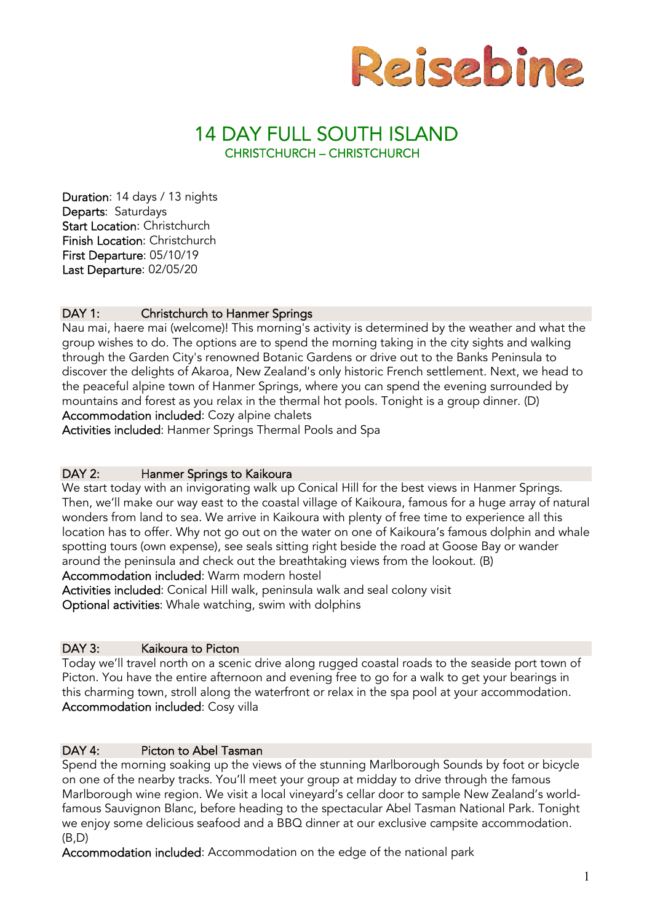

# 14 DAY FULL SOUTH ISLAND CHRISTCHURCH – CHRISTCHURCH

Duration: 14 days / 13 nights Departs: Saturdays Start Location: Christchurch Finish Location: Christchurch First Departure: 05/10/19 Last Departure: 02/05/20

# DAY 1: Christchurch to Hanmer Springs

Nau mai, haere mai (welcome)! This morning's activity is determined by the weather and what the group wishes to do. The options are to spend the morning taking in the city sights and walking through the Garden City's renowned Botanic Gardens or drive out to the Banks Peninsula to discover the delights of Akaroa, New Zealand's only historic French settlement. Next, we head to the peaceful alpine town of Hanmer Springs, where you can spend the evening surrounded by mountains and forest as you relax in the thermal hot pools. Tonight is a group dinner. (D) Accommodation included: Cozy alpine chalets

Activities included: Hanmer Springs Thermal Pools and Spa

# DAY 2: Hanmer Springs to Kaikoura

We start today with an invigorating walk up Conical Hill for the best views in Hanmer Springs. Then, we'll make our way east to the coastal village of Kaikoura, famous for a huge array of natural wonders from land to sea. We arrive in Kaikoura with plenty of free time to experience all this location has to offer. Why not go out on the water on one of Kaikoura's famous dolphin and whale spotting tours (own expense), see seals sitting right beside the road at Goose Bay or wander around the peninsula and check out the breathtaking views from the lookout. (B)

Accommodation included: Warm modern hostel

Activities included: Conical Hill walk, peninsula walk and seal colony visit Optional activities: Whale watching, swim with dolphins

### DAY 3: Kaikoura to Picton

Today we'll travel north on a scenic drive along rugged coastal roads to the seaside port town of Picton. You have the entire afternoon and evening free to go for a walk to get your bearings in this charming town, stroll along the waterfront or relax in the spa pool at your accommodation. Accommodation included: Cosy villa

# DAY 4: Picton to Abel Tasman

Spend the morning soaking up the views of the stunning Marlborough Sounds by foot or bicycle on one of the nearby tracks. You'll meet your group at midday to drive through the famous Marlborough wine region. We visit a local vineyard's cellar door to sample New Zealand's worldfamous Sauvignon Blanc, before heading to the spectacular Abel Tasman National Park. Tonight we enjoy some delicious seafood and a BBQ dinner at our exclusive campsite accommodation.  $(B.D)$ 

Accommodation included: Accommodation on the edge of the national park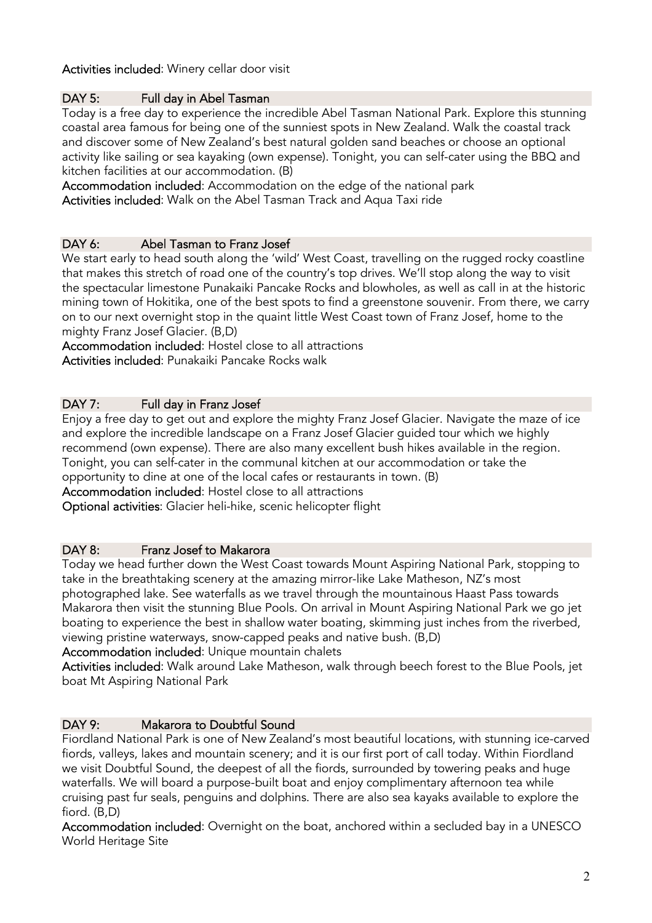# Activities included: Winery cellar door visit

# DAY 5: Full day in Abel Tasman

Today is a free day to experience the incredible Abel Tasman National Park. Explore this stunning coastal area famous for being one of the sunniest spots in New Zealand. Walk the coastal track and discover some of New Zealand's best natural golden sand beaches or choose an optional activity like sailing or sea kayaking (own expense). Tonight, you can self-cater using the BBQ and kitchen facilities at our accommodation. (B)

Accommodation included: Accommodation on the edge of the national park Activities included: Walk on the Abel Tasman Track and Aqua Taxi ride

# DAY 6: Abel Tasman to Franz Josef

We start early to head south along the 'wild' West Coast, travelling on the rugged rocky coastline that makes this stretch of road one of the country's top drives. We'll stop along the way to visit the spectacular limestone Punakaiki Pancake Rocks and blowholes, as well as call in at the historic mining town of Hokitika, one of the best spots to find a greenstone souvenir. From there, we carry on to our next overnight stop in the quaint little West Coast town of Franz Josef, home to the mighty Franz Josef Glacier. (B,D)

Accommodation included: Hostel close to all attractions Activities included: Punakaiki Pancake Rocks walk

# DAY 7: Full day in Franz Josef

Enjoy a free day to get out and explore the mighty Franz Josef Glacier. Navigate the maze of ice and explore the incredible landscape on a Franz Josef Glacier guided tour which we highly recommend (own expense). There are also many excellent bush hikes available in the region. Tonight, you can self-cater in the communal kitchen at our accommodation or take the opportunity to dine at one of the local cafes or restaurants in town. (B)

Accommodation included: Hostel close to all attractions

Optional activities: Glacier heli-hike, scenic helicopter flight

### DAY 8: Franz Josef to Makarora

Today we head further down the West Coast towards Mount Aspiring National Park, stopping to take in the breathtaking scenery at the amazing mirror-like Lake Matheson, NZ's most photographed lake. See waterfalls as we travel through the mountainous Haast Pass towards Makarora then visit the stunning Blue Pools. On arrival in Mount Aspiring National Park we go jet boating to experience the best in shallow water boating, skimming just inches from the riverbed, viewing pristine waterways, snow-capped peaks and native bush. (B,D)

# Accommodation included: Unique mountain chalets

Activities included: Walk around Lake Matheson, walk through beech forest to the Blue Pools, jet boat Mt Aspiring National Park

### DAY 9: Makarora to Doubtful Sound

Fiordland National Park is one of New Zealand's most beautiful locations, with stunning ice-carved fiords, valleys, lakes and mountain scenery; and it is our first port of call today. Within Fiordland we visit Doubtful Sound, the deepest of all the fiords, surrounded by towering peaks and huge waterfalls. We will board a purpose-built boat and enjoy complimentary afternoon tea while cruising past fur seals, penguins and dolphins. There are also sea kayaks available to explore the fiord. (B,D)

Accommodation included: Overnight on the boat, anchored within a secluded bay in a UNESCO World Heritage Site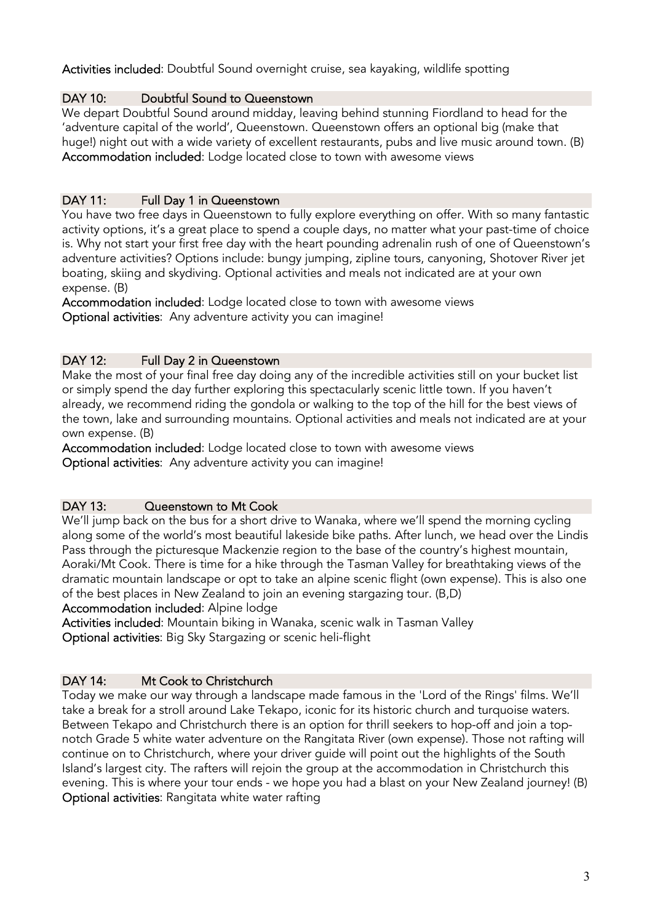# Activities included: Doubtful Sound overnight cruise, sea kayaking, wildlife spotting

# DAY 10: Doubtful Sound to Queenstown

We depart Doubtful Sound around midday, leaving behind stunning Fiordland to head for the 'adventure capital of the world', Queenstown. Queenstown offers an optional big (make that huge!) night out with a wide variety of excellent restaurants, pubs and live music around town. (B) Accommodation included: Lodge located close to town with awesome views

# DAY 11: Full Day 1 in Queenstown

You have two free days in Queenstown to fully explore everything on offer. With so many fantastic activity options, it's a great place to spend a couple days, no matter what your past-time of choice is. Why not start your first free day with the heart pounding adrenalin rush of one of Queenstown's adventure activities? Options include: bungy jumping, zipline tours, canyoning, Shotover River jet boating, skiing and skydiving. Optional activities and meals not indicated are at your own expense. (B)

Accommodation included: Lodge located close to town with awesome views Optional activities: Any adventure activity you can imagine!

# DAY 12: Full Day 2 in Queenstown

Make the most of your final free day doing any of the incredible activities still on your bucket list or simply spend the day further exploring this spectacularly scenic little town. If you haven't already, we recommend riding the gondola or walking to the top of the hill for the best views of the town, lake and surrounding mountains. Optional activities and meals not indicated are at your own expense. (B)

Accommodation included: Lodge located close to town with awesome views Optional activities: Any adventure activity you can imagine!

### DAY 13: Cueenstown to Mt Cook

We'll jump back on the bus for a short drive to Wanaka, where we'll spend the morning cycling along some of the world's most beautiful lakeside bike paths. After lunch, we head over the Lindis Pass through the picturesque Mackenzie region to the base of the country's highest mountain, Aoraki/Mt Cook. There is time for a hike through the Tasman Valley for breathtaking views of the dramatic mountain landscape or opt to take an alpine scenic flight (own expense). This is also one of the best places in New Zealand to join an evening stargazing tour. (B,D)

Accommodation included: Alpine lodge

Activities included: Mountain biking in Wanaka, scenic walk in Tasman Valley Optional activities: Big Sky Stargazing or scenic heli-flight

### DAY 14: Mt Cook to Christchurch

Today we make our way through a landscape made famous in the 'Lord of the Rings' films. We'll take a break for a stroll around Lake Tekapo, iconic for its historic church and turquoise waters. Between Tekapo and Christchurch there is an option for thrill seekers to hop-off and join a topnotch Grade 5 white water adventure on the Rangitata River (own expense). Those not rafting will continue on to Christchurch, where your driver guide will point out the highlights of the South Island's largest city. The rafters will rejoin the group at the accommodation in Christchurch this evening. This is where your tour ends - we hope you had a blast on your New Zealand journey! (B) Optional activities: Rangitata white water rafting